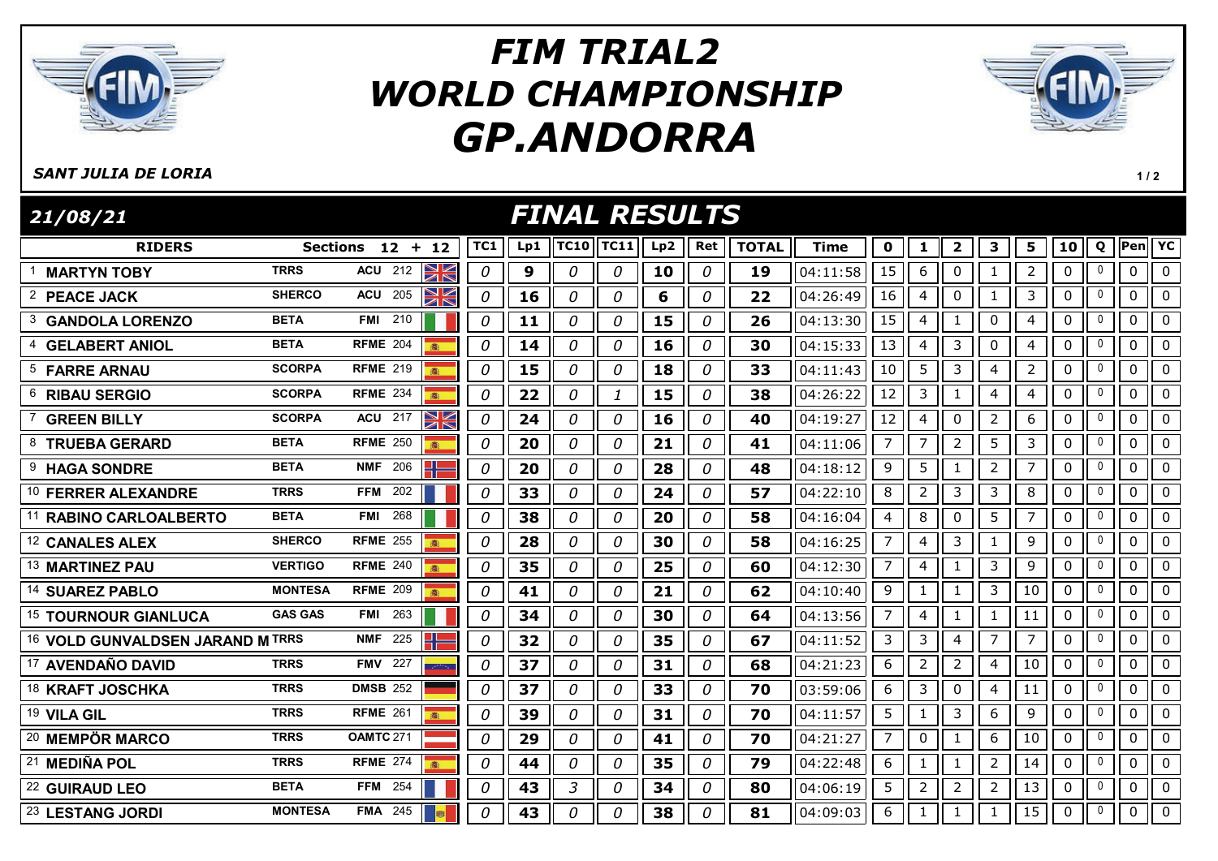

## GP.ANDORRA FIM TRIAL2 WORLD CHAMPIONSHIP



 $1/2$ 

## SANT JULIA DE LORIA

RIDERS Sections 12 + 12 ||TC1 || Lp1 ||TC10||TC11|| Lp2 || Ret || TOTAL || Time || 0 || 1 || 2 || 3 || 5 || 10 || Q ||Pen| FINAL RESULTS 21/08/21 TC11|| Lp2 || Ret || TOTAL || Time || 0 || 1 || 2 || 3 || 5 || 10 || Q ||Pen|| YC  $1$  **MARTYN TOBY** TRRS ACU 212  $\frac{1}{2}$  | 0 | 9 | 0 | 0 | 10 | 0 | 19 | 04:11:58 | 15 | 6 || 0 || 1 || 2 || 0 || 0 || 0 || 0 2 PEACE JACK SHERCO ACU 205 2 0 16 0 0 6 0 20 22 04:26:49 16 4 0 1 3 0 0 0 0 3 GANDOLA LORENZO BETA FMI 210 | 0 | 11 | 0 | 0 | 15 | 0 | 26 | 04:13:30 | 15 | 4 | 1 | 0 | 4 | 0 | 0 | 0 | 0 4 GELABERT ANIOL BETA RFME 204 8 | 0 | 14 | 0 | 0 | 16 | 0 | 30 | 04:15:33 | 13 | 4 | 3 | 0 | 4 | 0 | 0 | 0 | 0 <sup>5</sup> FARRE ARNAU SCORPA RFME <sup>219</sup> 0 15 0 0 18 0 33 04:11:43 10 5 3 4 2 0 <sup>0</sup> 0 0 <sup>6</sup> RIBAU SERGIO SCORPA RFME <sup>234</sup> 0 22 0 1 15 0 38 04:26:22 12 3 1 4 4 0 <sup>0</sup> 0 0 7 GREEN BILLY SCORPA ACU 217 2 0 24 0 0 16 0 40 40 4:19:27 12 4 0 2 6 0 0 0 0 <sup>8</sup> TRUEBA GERARD BETA RFME <sup>250</sup> 0 20 0 0 21 0 41 04:11:06 7 7 2 5 3 0 <sup>0</sup> 0 0 <sup>9</sup> HAGA SONDRE BETA NMF <sup>206</sup> 0 20 0 0 28 0 48 04:18:12 9 5 1 2 7 0 <sup>0</sup> 0 0 10 FERRER ALEXANDRE TRRS FFM 202 | 0 0 33 0 0 0 24 0 57 04:22:10 8 2 3 3 3 0 0 0 0 11 **RABINO CARLOALBERTO** BETA FMI 268 **1 1 | 0 || 38 || 0 || 0 || 20 || 0 || 58** ||04:16:04 || 4 || 8 || 0 || 5 || 7 || 0 || 0 || 0 || 0 12 CANALES ALEX SHERCO RFME 255 **8** 0 0 28 0 0 30 0 58 04:16:25 7 4 3 1 9 0 0 0 0 13 MARTINEZ PAU **VERTIGO RFME 240 35 0 35 0 0 25 0 60** 04:12:30 7 4 1 3 9 0 0 0 0 14 SUAREZ PABLO MONTESA RFME 209 8 0 41 0 0 21 0 52 04:10:40 9 1 1 3 0 0 0 0 0 15 TOURNOUR GIANLUCA GAS GAS FMI 263 | 0 34 0 0 35 0 0 54 0 4:13:56 7 4 1 1 1 1 0 0 0 0 16 VOLD GUNVALDSEN JARAND M TRRS NMF 225  $\Box$  0 32 0 0 35 0 67 04:11:52 3 3 4 7 7 0 0 0 0 0 <sup>17</sup> AVENDAÑO DAVID TRRS FMV <sup>227</sup> 0 37 0 0 31 0 68 04:21:23 6 2 2 4 10 0 <sup>0</sup> 0 0 18 KRAFT JOSCHKA TRRS DMSB 252 0 0 37 0 0 33 0 70 03:59:06 6 3 0 4 11 0 0 0 0 <sup>19</sup> VILA GIL TRRS RFME <sup>261</sup> 0 39 0 0 31 0 70 04:11:57 5 1 3 6 9 0 <sup>0</sup> 0 0 20 MEMPÖR MARCO TRRS OAMTC 271 | 0 | 29 | 0 | 0 | 41 | 0 | 70 | 04:21:27 | 7 | 0 | 1 | 6 | 10 | 0 | 0 | 0 | 0 21 MEDIÑA POL TRRS RFME 274 8 0 44 0 0 35 0 79 04:22:48 6 1 0 1 2 14 0 0 0 0 22 GUIRAUD LEO BETA FFM 254 | | | 0 | 43 | 3 | 0 | 34 | 0 | 80 | 04:06:19 | 5 | 2 | 2 | 2 | 13 | 0 | 0 | 0 | 0 <sup>23</sup> LESTANG JORDI MONTESA FMA <sup>245</sup> 0 43 0 0 38 0 81 04:09:03 6 1 1 1 15 0 <sup>0</sup> 0 0